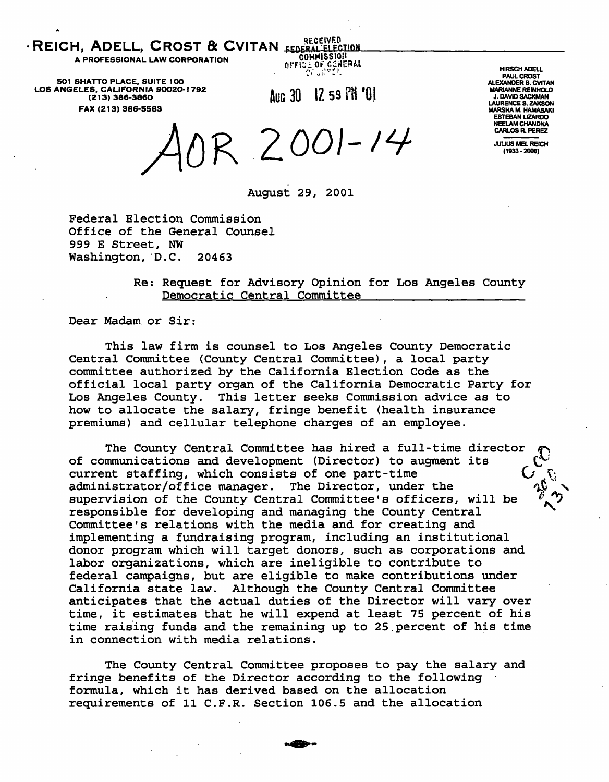REICH, ADELL, CROST & CVITAN FEDERAL ELECTION

A PROFESSIONAL LAW CORPORATION

5O1 SHATTO PLACE, SUITE 1OO LOS ANGELES, CALIFORNIA 9OO2O-1792 (213) 386-3860 FAX (213) 386-5583

Aug 30 12 59 PH '01

OrFISiOFCSflE •••' :".'i'|

RECEIVED COMMISSION

> HIRSCH ADELL PAUL CROST ALEXANDER B. CVITAN MARIANNE REINHOLD J. DAVID SACKMAN LAURENCE S. ZAKSON MARSHA M. HAMASAKI ESTEBAN LIZARDO NEELAM CHANDNA CARLOS R. PEREZ

JULIUS MEL REICH (1933-2000)

OR 2001-14

August 29, 2001

Federal Election Commission Office of the General Counsel 999 E Street, NW Washington, D.C. 20463

> Re: Request for Advisory Opinion for Los Angeles County Democratic Central Committee

Dear Madam, or Sir:

This law firm is counsel to Los Angeles County Democratic Central Committee (County Central Committee), a local party committee authorized by the California Election Code as the official local party organ of the California Democratic Party for Los Angeles County. This letter seeks Commission advice as to how to allocate the salary, fringe benefit (health insurance premiums) and cellular telephone charges of an employee.

The County Central Committee has hired a full-time director of communications and development (Director) to augment its current staffing, which consists of one part-time administrator/office manager. The Director, under the supervision of the County Central Committee's officers, will be responsible for developing and managing the County Central Committee's relations with the media and for creating and implementing a fundraising program, including an institutional donor program which will target donors, such as corporations and labor organizations, which are ineligible to contribute to federal campaigns, but are eligible to make contributions under California state law. Although the County Central Committee anticipates that the actual duties of the Director will vary over time, it estimates that he will expend at least 75 percent of his time raising funds and the remaining up to 25.percent of his time in connection with media relations.

The County Central Committee proposes to pay the salary and fringe benefits of the Director according to the following formula, which it has derived based on the allocation requirements of 11 C.F.R. Section 106.5 and the allocation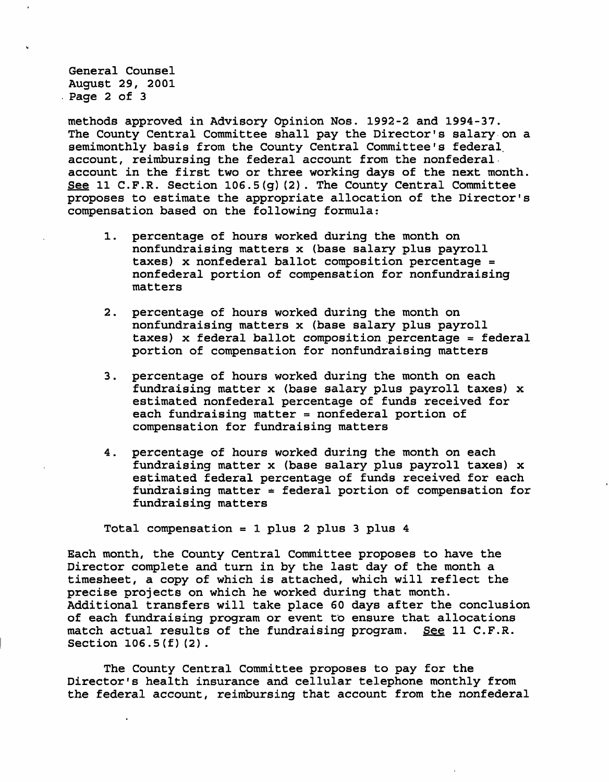General Counsel August 29, 2001 Page 2 of 3

methods approved in Advisory Opinion Nos. 1992-2 and 1994-37. The County Central Committee shall pay the Director's salary on a semimonthly basis from the County Central Committee's federal, account, reimbursing the federal account from the nonfederal account in the first two or three working days of the next month. See 11 C.F.R. Section  $106.5(q)(2)$ . The County Central Committee proposes to estimate the appropriate allocation of the Director's compensation based on the following formula:

- 1. percentage of hours worked during the month on nonfundraising matters x (base salary plus payroll taxes) x nonfederal ballot composition percentage = nonfederal portion of compensation for nonfundraising matters
- 2. percentage of hours worked during the month on nonfundraising matters x (base salary plus payroll taxes) x federal ballot composition percentage = federal portion of compensation for nonfundraising matters
- 3. percentage of hours worked during the month on each fundraising matter x (base salary plus payroll taxes) x estimated nonfederal percentage of funds received for each fundraising matter = nonfederal portion of compensation for fundraising matters
- 4. percentage of hours worked during the month on each fundraising matter x (base salary plus payroll taxes) x estimated federal percentage of funds received for each fundraising matter  $=$  federal portion of compensation for fundraising matters

Total compensation = 1 plus 2 plus 3 plus 4

Each month, the County Central Committee proposes to have the Director complete and turn in by the last day of the month a timesheet, a copy of which is attached, which will reflect the precise projects on which he worked during that month. Additional transfers will take place 60 days after the conclusion of each fundraising program or event to ensure that allocations match actual results of the fundraising program. See 11 C.F.R. Section 106.5(f)(2).

The County Central Committee proposes to pay for the Director's health insurance and cellular telephone monthly from the federal account, reimbursing that account from the nonfederal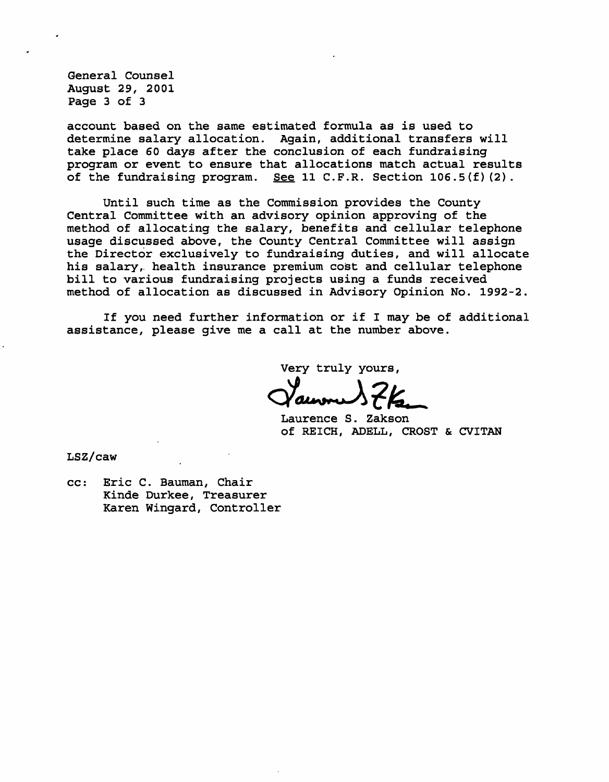General Counsel August 29, 2001 Page 3 of 3

account based on the same estimated formula as is used to determine salary allocation. Again, additional transfers will take place 60 days after the conclusion of each fundraising program or event to ensure that allocations match actual results of the fundraising program. See 11 C.F.R. Section  $106.5(f)(2)$ .

Until such time as the Commission provides the County Central Committee with an advisory opinion approving of the method of allocating the salary, benefits and cellular telephone usage discussed above, the County Central Committee will assign the Director exclusively to fundraising duties, and will allocate his salary, health insurance premium cost and cellular telephone bill to various fundraising projects using a funds received method of allocation as discussed in Advisory Opinion No. 1992-2.

If you need further information or if I may be of additional assistance, please give me a call at the number above.

Very truly yours,

Laurence S. Zakson Of REICH, ADELL, CROST & CVITAN

LSZ/caw

cc: Eric C. Bauman, Chair Kinde Durkee, Treasurer Karen Wingard, Controller